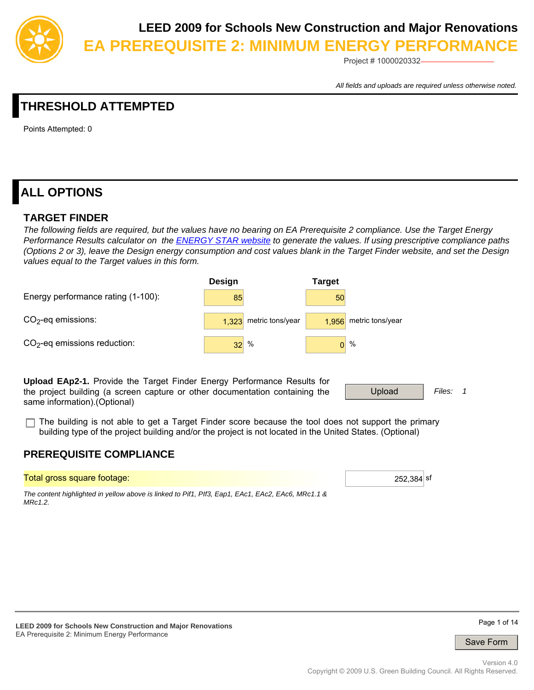

Project # 1000020332

*All fields and uploads are required unless otherwise noted.*

# **THRESHOLD ATTEMPTED**

Points Attempted: 0

# **ALL OPTIONS**

### **TARGET FINDER**

*The following fields are required, but the values have no bearing on EA Prerequisite 2 compliance. Use the Target Energy Performance Results calculator on the [ENERGY STAR website](http://www.energystar.gov/index.cfm?fuseaction=target_finder.&CFID=154897) to generate the values. If using prescriptive compliance paths (Options 2 or 3), leave the Design energy consumption and cost values blank in the Target Finder website, and set the Design values equal to the Target values in this form.*



**Upload EAp2-1.** Provide the Target Finder Energy Performance Results for the project building (a screen capture or other documentation containing the same information).(Optional)

| Unload<br>Files:<br>$  -$ |
|---------------------------|
|---------------------------|

The building is not able to get a Target Finder score because the tool does not support the primary building type of the project building and/or the project is not located in the United States. (Optional)

### **PREREQUISITE COMPLIANCE**

Total gross square footage: 252,384 sf

*The content highlighted in yellow above is linked to Pif1, PIf3, Eap1, EAc1, EAc2, EAc6, MRc1.1 & MRc1.2.*

Page 1 of 14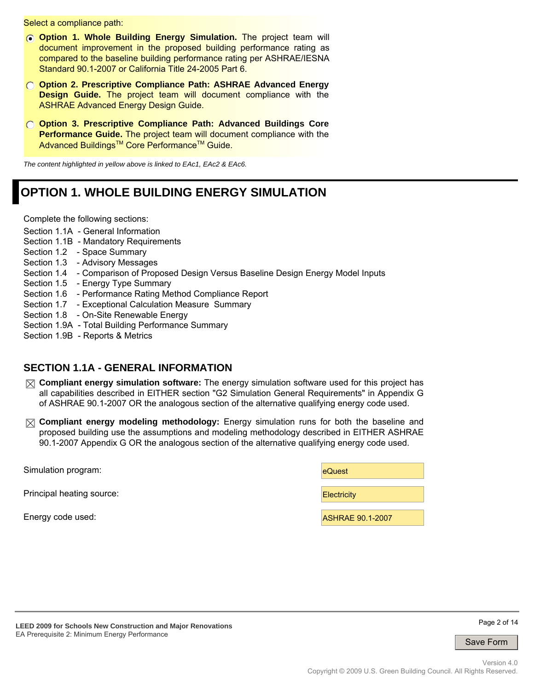Select a compliance path:

- **Option 1. Whole Building Energy Simulation.** The project team will document improvement in the proposed building performance rating as compared to the baseline building performance rating per ASHRAE/IESNA Standard 90.1-2007 or California Title 24-2005 Part 6.
- **Option 2. Prescriptive Compliance Path: ASHRAE Advanced Energy Design Guide.** The project team will document compliance with the ASHRAE Advanced Energy Design Guide.
- **Option 3. Prescriptive Compliance Path: Advanced Buildings Core Performance Guide.** The project team will document compliance with the Advanced Buildings<sup>™</sup> Core Performance<sup>™</sup> Guide.

*The content highlighted in yellow above is linked to EAc1, EAc2 & EAc6.*

# **OPTION 1. WHOLE BUILDING ENERGY SIMULATION**

Complete the following sections:

- Section 1.1A General Information
- Section 1.1B Mandatory Requirements
- Section 1.2 Space Summary
- Section 1.3 Advisory Messages
- Section 1.4 Comparison of Proposed Design Versus Baseline Design Energy Model Inputs
- Section 1.5 Energy Type Summary
- Section 1.6 Performance Rating Method Compliance Report
- Section 1.7 Exceptional Calculation Measure Summary
- Section 1.8 On-Site Renewable Energy
- Section 1.9A Total Building Performance Summary
- Section 1.9B Reports & Metrics

### **SECTION 1.1A - GENERAL INFORMATION**

- **Compliant energy simulation software:** The energy simulation software used for this project has all capabilities described in EITHER section "G2 Simulation General Requirements" in Appendix G of ASHRAE 90.1-2007 OR the analogous section of the alternative qualifying energy code used.
- **Compliant energy modeling methodology:** Energy simulation runs for both the baseline and proposed building use the assumptions and modeling methodology described in EITHER ASHRAE 90.1-2007 Appendix G OR the analogous section of the alternative qualifying energy code used.

| Simulation program:       | eQuest                  |
|---------------------------|-------------------------|
| Principal heating source: | Electricity             |
| Energy code used:         | <b>ASHRAE 90.1-2007</b> |



Page 2 of 14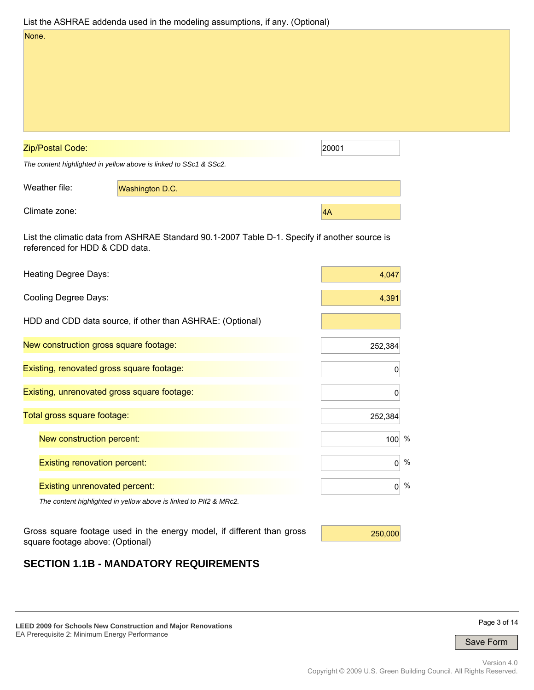|                                             | List the ASHRAE addenda used in the modeling assumptions, if any. (Optional)                  |                 |      |
|---------------------------------------------|-----------------------------------------------------------------------------------------------|-----------------|------|
| None.                                       |                                                                                               |                 |      |
| Zip/Postal Code:                            |                                                                                               | 20001           |      |
|                                             | The content highlighted in yellow above is linked to SSc1 & SSc2.                             |                 |      |
| Weather file:                               | Washington D.C.                                                                               |                 |      |
| Climate zone:                               |                                                                                               | $\overline{4A}$ |      |
| referenced for HDD & CDD data.              | List the climatic data from ASHRAE Standard 90.1-2007 Table D-1. Specify if another source is |                 |      |
| Heating Degree Days:                        |                                                                                               | 4,047           |      |
| Cooling Degree Days:                        |                                                                                               | 4,391           |      |
|                                             | HDD and CDD data source, if other than ASHRAE: (Optional)                                     |                 |      |
| New construction gross square footage:      |                                                                                               | 252,384         |      |
| Existing, renovated gross square footage:   |                                                                                               | 0               |      |
| Existing, unrenovated gross square footage: |                                                                                               | 0               |      |
| Total gross square footage:                 |                                                                                               | 252,384         |      |
| New construction percent:                   |                                                                                               | $100^{96}$      |      |
| <b>Existing renovation percent:</b>         |                                                                                               | 0               | $\%$ |
| <b>Existing unrenovated percent:</b>        |                                                                                               | 0               | $\%$ |
|                                             | The content highlighted in yellow above is linked to PIf2 & MRc2.                             |                 |      |
| square footage above: (Optional)            | Gross square footage used in the energy model, if different than gross                        | 250,000         |      |

# **SECTION 1.1B - MANDATORY REQUIREMENTS**

**LEED 2009 for Schools New Construction and Major Renovations**  EA Prerequisite 2: Minimum Energy Performance

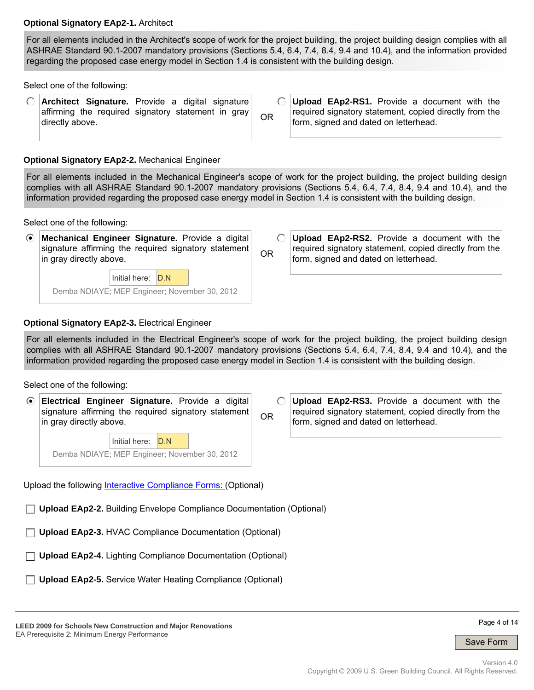#### **Optional Signatory EAp2-1.** Architect

For all elements included in the Architect's scope of work for the project building, the project building design complies with all ASHRAE Standard 90.1-2007 mandatory provisions (Sections 5.4, 6.4, 7.4, 8.4, 9.4 and 10.4), and the information provided regarding the proposed case energy model in Section 1.4 is consistent with the building design.

Select one of the following:

**Architect Signature.** Provide a digital signature affirming the required signatory statement in gray directly above.

 $\bigcirc$ **Upload EAp2-RS1.** Provide a document with the required signatory statement, copied directly from the OR form, signed and dated on letterhead.

#### **Optional Signatory EAp2-2.** Mechanical Engineer

For all elements included in the Mechanical Engineer's scope of work for the project building, the project building design complies with all ASHRAE Standard 90.1-2007 mandatory provisions (Sections 5.4, 6.4, 7.4, 8.4, 9.4 and 10.4), and the information provided regarding the proposed case energy model in Section 1.4 is consistent with the building design.

Select one of the following:

 $\odot$ **Mechanical Engineer Signature.** Provide a digital signature affirming the required signatory statement in gray directly above. Initial here: D.N

Demba NDIAYE; MEP Engineer; November 30, 2012

 $\bigcirc$ **Upload EAp2-RS2.** Provide a document with the required signatory statement, copied directly from the OR form, signed and dated on letterhead.

#### **Optional Signatory EAp2-3.** Electrical Engineer

For all elements included in the Electrical Engineer's scope of work for the project building, the project building design complies with all ASHRAE Standard 90.1-2007 mandatory provisions (Sections 5.4, 6.4, 7.4, 8.4, 9.4 and 10.4), and the information provided regarding the proposed case energy model in Section 1.4 is consistent with the building design.

Select one of the following:

 $\odot$ **Electrical Engineer Signature.** Provide a digital  $\bigcap$ **Upload EAp2-RS3.** Provide a document with the signature affirming the required signatory statement required signatory statement, copied directly from the OR in gray directly above. form, signed and dated on letterhead. Initial here: D.N Demba NDIAYE; MEP Engineer; November 30, 2012 Upload the following [Interactive Compliance Forms:](http://www.ashrae.org/technology/page/9) (Optional)

**Upload EAp2-2.** Building Envelope Compliance Documentation (Optional)

**Upload EAp2-3.** HVAC Compliance Documentation (Optional)

**Upload EAp2-4.** Lighting Compliance Documentation (Optional)

**Upload EAp2-5.** Service Water Heating Compliance (Optional)

**LEED 2009 for Schools New Construction and Major Renovations**  EA Prerequisite 2: Minimum Energy Performance

Page 4 of 14

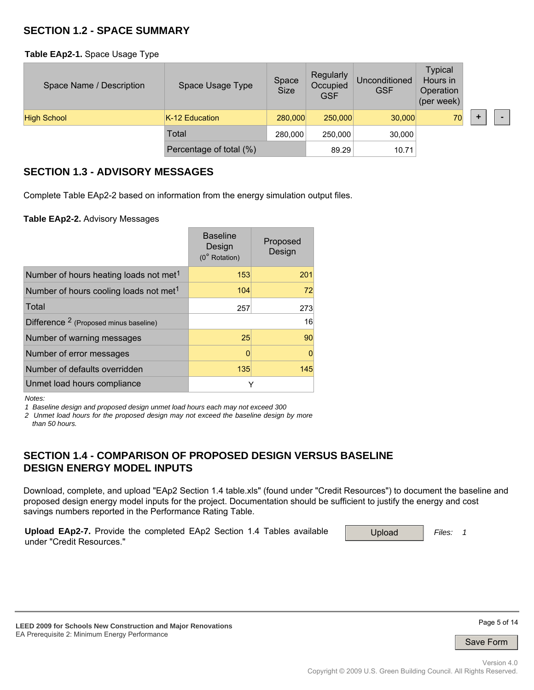### **SECTION 1.2 - SPACE SUMMARY**

**Table EAp2-1.** Space Usage Type

| Space Name / Description | Space Usage Type        | Space<br><b>Size</b> | Regularly<br>Occupied<br><b>GSF</b> | Unconditioned<br><b>GSF</b> | <b>Typical</b><br>Hours in<br>Operation<br>(per week) |  |  |
|--------------------------|-------------------------|----------------------|-------------------------------------|-----------------------------|-------------------------------------------------------|--|--|
| <b>High School</b>       | K-12 Education          | 280,000              | 250,000                             | 30,000                      | 70                                                    |  |  |
|                          | Total                   | 280,000              | 250,000                             | 30,000                      |                                                       |  |  |
|                          | Percentage of total (%) |                      | 89.29                               | 10.71                       |                                                       |  |  |

### **SECTION 1.3 - ADVISORY MESSAGES**

Complete Table EAp2-2 based on information from the energy simulation output files.

#### **Table EAp2-2.** Advisory Messages

|                                                    | <b>Baseline</b><br>Design<br>$(0^{\circ}$ Rotation) | Proposed<br>Design |
|----------------------------------------------------|-----------------------------------------------------|--------------------|
| Number of hours heating loads not met <sup>1</sup> | 153                                                 | 201                |
| Number of hours cooling loads not met <sup>1</sup> | 104                                                 | 72                 |
| Total                                              | 257                                                 | 273                |
| Difference <sup>2</sup> (Proposed minus baseline)  |                                                     | 16                 |
| Number of warning messages                         | 25                                                  | 90                 |
| Number of error messages                           | O                                                   | $\Omega$           |
| Number of defaults overridden                      | 135                                                 | 145                |
| Unmet load hours compliance                        | Y                                                   |                    |

*Notes:* 

*1 Baseline design and proposed design unmet load hours each may not exceed 300* 

*2 Unmet load hours for the proposed design may not exceed the baseline design by more than 50 hours.*

# **SECTION 1.4 - COMPARISON OF PROPOSED DESIGN VERSUS BASELINE DESIGN ENERGY MODEL INPUTS**

Download, complete, and upload "EAp2 Section 1.4 table.xls" (found under "Credit Resources") to document the baseline and proposed design energy model inputs for the project. Documentation should be sufficient to justify the energy and cost savings numbers reported in the Performance Rating Table.

| <b>Upload EAp2-7.</b> Provide the completed EAp2 Section 1.4 Tables available | Upload | Files: |
|-------------------------------------------------------------------------------|--------|--------|
| under "Credit Resources."                                                     |        |        |



Page 5 of 14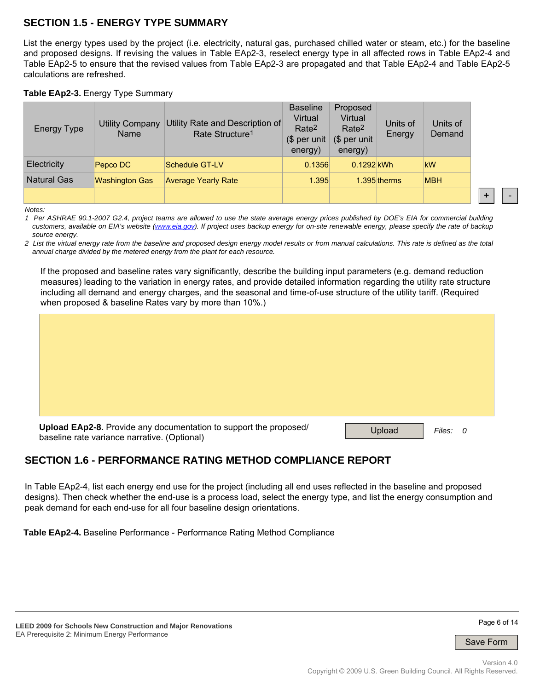# **SECTION 1.5 - ENERGY TYPE SUMMARY**

List the energy types used by the project (i.e. electricity, natural gas, purchased chilled water or steam, etc.) for the baseline and proposed designs. If revising the values in Table EAp2-3, reselect energy type in all affected rows in Table EAp2-4 and Table EAp2-5 to ensure that the revised values from Table EAp2-3 are propagated and that Table EAp2-4 and Table EAp2-5 calculations are refreshed.

#### **Table EAp2-3.** Energy Type Summary

| <b>Energy Type</b> | <b>Utility Company</b><br>Name | Utility Rate and Description of<br>Rate Structure <sup>1</sup> | <b>Baseline</b><br>Virtual<br>Rate <sup>2</sup><br>(\$ per unit<br>energy) | Proposed<br>Virtual<br>Rate <sup>2</sup><br>(\$ per unit<br>energy) | Units of<br>Energy | Units of<br>Demand |
|--------------------|--------------------------------|----------------------------------------------------------------|----------------------------------------------------------------------------|---------------------------------------------------------------------|--------------------|--------------------|
| Electricity        | Pepco DC                       | Schedule GT-LV                                                 | 0.1356                                                                     | 0.1292 kWh                                                          |                    | <b>kW</b>          |
| <b>Natural Gas</b> | <b>Washington Gas</b>          | <b>Average Yearly Rate</b>                                     | 1.395                                                                      |                                                                     | 1.395 therms       | <b>MBH</b>         |
|                    |                                |                                                                |                                                                            |                                                                     |                    |                    |

*Notes:* 

*1 Per ASHRAE 90.1-2007 G2.4, project teams are allowed to use the state average energy prices published by DOE's EIA for commercial building*  customers, available on EIA's website (www.eia.gov). If project uses backup energy for on-site renewable energy, please specify the rate of backup *source energy.* 

*2 List the virtual energy rate from the baseline and proposed design energy model results or from manual calculations. This rate is defined as the total annual charge divided by the metered energy from the plant for each resource.*

If the proposed and baseline rates vary significantly, describe the building input parameters (e.g. demand reduction measures) leading to the variation in energy rates, and provide detailed information regarding the utility rate structure including all demand and energy charges, and the seasonal and time-of-use structure of the utility tariff. (Required when proposed & baseline Rates vary by more than 10%.)

| Upload EAp2-8. Provide any documentation to support the proposed/<br>baseline rate variance narrative. (Optional) | Upload<br>Files:<br>$\overline{\mathbf{0}}$ |
|-------------------------------------------------------------------------------------------------------------------|---------------------------------------------|

# **SECTION 1.6 - PERFORMANCE RATING METHOD COMPLIANCE REPORT**

In Table EAp2-4, list each energy end use for the project (including all end uses reflected in the baseline and proposed designs). Then check whether the end-use is a process load, select the energy type, and list the energy consumption and peak demand for each end-use for all four baseline design orientations.

**Table EAp2-4.** Baseline Performance - Performance Rating Method Compliance

**+** -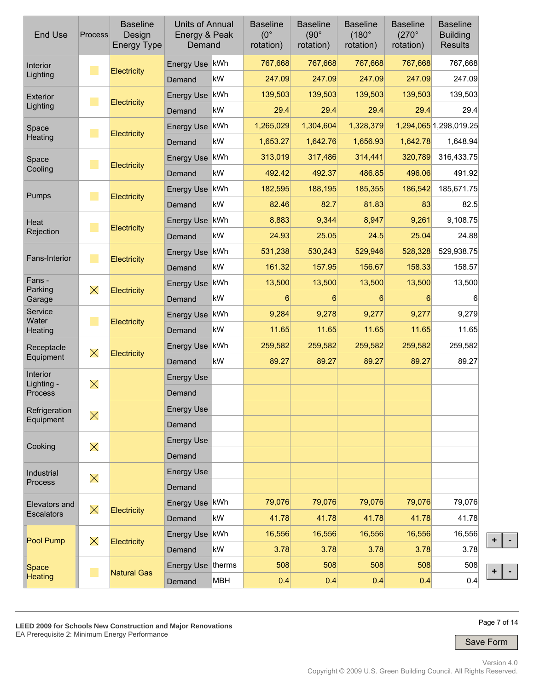| <b>End Use</b>         | Process                     | <b>Baseline</b><br>Design<br><b>Energy Type</b> | Units of Annual<br>Energy & Peak<br>Demand |     | <b>Baseline</b><br>$(0^{\circ}$<br>rotation) | <b>Baseline</b><br>$(90^\circ$<br>rotation) | <b>Baseline</b><br>$(180^\circ$<br>rotation) | <b>Baseline</b><br>$(270^\circ$<br>rotation) | <b>Baseline</b><br><b>Building</b><br><b>Results</b> |
|------------------------|-----------------------------|-------------------------------------------------|--------------------------------------------|-----|----------------------------------------------|---------------------------------------------|----------------------------------------------|----------------------------------------------|------------------------------------------------------|
| Interior               | $\mathcal{L}_{\mathcal{A}}$ | Electricity                                     | Energy Use kWh                             |     | 767,668                                      | 767,668                                     | 767,668                                      | 767,668                                      | 767,668                                              |
| Lighting               |                             |                                                 | Demand                                     | kW  | 247.09                                       | 247.09                                      | 247.09                                       | 247.09                                       | 247.09                                               |
| Exterior               | $\mathcal{L}_{\mathcal{A}}$ | Electricity                                     | Energy Use kWh                             |     | 139,503                                      | 139,503                                     | 139,503                                      | 139,503                                      | 139,503                                              |
| Lighting               |                             |                                                 | Demand                                     | kW  | 29.4                                         | 29.4                                        | 29.4                                         | 29.4                                         | 29.4                                                 |
| Space                  | $\mathcal{L}_{\mathcal{A}}$ | Electricity                                     | Energy Use kWh                             |     | 1,265,029                                    | 1,304,604                                   | 1,328,379                                    |                                              | 1,294,065 1,298,019.25                               |
| Heating                |                             |                                                 | Demand                                     | kW  | 1,653.27                                     | 1,642.76                                    | 1,656.93                                     | 1,642.78                                     | 1,648.94                                             |
| Space                  | $\mathcal{L}_{\mathcal{A}}$ | Electricity                                     | Energy Use kWh                             |     | 313,019                                      | 317,486                                     | 314,441                                      | 320,789                                      | 316,433.75                                           |
| Cooling                |                             |                                                 | Demand                                     | kW  | 492.42                                       | 492.37                                      | 486.85                                       | 496.06                                       | 491.92                                               |
| Pumps                  | $\mathcal{L}_{\mathcal{A}}$ | Electricity                                     | Energy Use kWh                             |     | 182,595                                      | 188,195                                     | 185,355                                      | 186,542                                      | 185,671.75                                           |
|                        |                             |                                                 | Demand                                     | kW  | 82.46                                        | 82.7                                        | 81.83                                        | 83                                           | 82.5                                                 |
| Heat                   | $\mathcal{L}_{\mathcal{A}}$ | Electricity                                     | Energy Use kWh                             |     | 8,883                                        | 9,344                                       | 8,947                                        | 9,261                                        | 9,108.75                                             |
| Rejection              |                             |                                                 | Demand                                     | kW  | 24.93                                        | 25.05                                       | 24.5                                         | 25.04                                        | 24.88                                                |
| Fans-Interior          | $\mathcal{L}_{\mathcal{A}}$ | Electricity                                     | Energy Use kWh                             |     | 531,238                                      | 530,243                                     | 529,946                                      | 528,328                                      | 529,938.75                                           |
|                        |                             |                                                 | Demand                                     | kW  | 161.32                                       | 157.95                                      | 156.67                                       | 158.33                                       | 158.57                                               |
| Fans -<br>Parking      | $\times$                    | Electricity                                     | Energy Use kWh                             |     | 13,500                                       | 13,500                                      | 13,500                                       | 13,500                                       | 13,500                                               |
| Garage                 |                             |                                                 | Demand                                     | kW  | 6                                            | $6 \overline{6}$                            | 6                                            | 6                                            | 6                                                    |
| Service<br>Water       | $\mathcal{L}_{\mathcal{A}}$ | Electricity                                     | Energy Use kWh                             |     | 9,284                                        | 9,278                                       | 9,277                                        | 9,277                                        | 9,279                                                |
| Heating                |                             |                                                 | Demand                                     | kW  | 11.65                                        | 11.65                                       | 11.65                                        | 11.65                                        | 11.65                                                |
| Receptacle             | $\times$                    | Electricity                                     | Energy Use kWh                             |     | 259,582                                      | 259,582                                     | 259,582                                      | 259,582                                      | 259,582                                              |
| Equipment              |                             |                                                 | Demand                                     | kW  | 89.27                                        | 89.27                                       | 89.27                                        | 89.27                                        | 89.27                                                |
| Interior<br>Lighting - | $\times$                    |                                                 | <b>Energy Use</b>                          |     |                                              |                                             |                                              |                                              |                                                      |
| Process                |                             |                                                 | Demand                                     |     |                                              |                                             |                                              |                                              |                                                      |
| Refrigeration          | $\times$                    |                                                 | <b>Energy Use</b>                          |     |                                              |                                             |                                              |                                              |                                                      |
| Equipment              |                             |                                                 | Demand                                     |     |                                              |                                             |                                              |                                              |                                                      |
| Cooking                | $\times$                    |                                                 | <b>Energy Use</b>                          |     |                                              |                                             |                                              |                                              |                                                      |
|                        |                             |                                                 | Demand                                     |     |                                              |                                             |                                              |                                              |                                                      |
| Industrial             | $\times$                    |                                                 | <b>Energy Use</b>                          |     |                                              |                                             |                                              |                                              |                                                      |
| Process                |                             |                                                 | Demand                                     |     |                                              |                                             |                                              |                                              |                                                      |
| Elevators and          | $\times$                    |                                                 | Energy Use kWh                             |     | 79,076                                       | 79,076                                      | 79,076                                       | 79,076                                       | 79,076                                               |
| Escalators             |                             | Electricity                                     | Demand                                     | kW  | 41.78                                        | 41.78                                       | 41.78                                        | 41.78                                        | 41.78                                                |
|                        |                             |                                                 | Energy Use kWh                             |     | 16,556                                       | 16,556                                      | 16,556                                       | 16,556                                       | 16,556                                               |
| Pool Pump              | $\times$                    | Electricity                                     | Demand                                     | kW  | 3.78                                         | 3.78                                        | 3.78                                         | 3.78                                         | 3.78                                                 |
| Space                  |                             |                                                 | Energy Use therms                          |     | 508                                          | 508                                         | 508                                          | 508                                          | 508                                                  |
| <b>Heating</b>         |                             | <b>Natural Gas</b>                              | Demand                                     | MBH | 0.4                                          | 0.4                                         | 0.4                                          | 0.4                                          | 0.4                                                  |



Page 7 of 14

**+ -**

**+ -**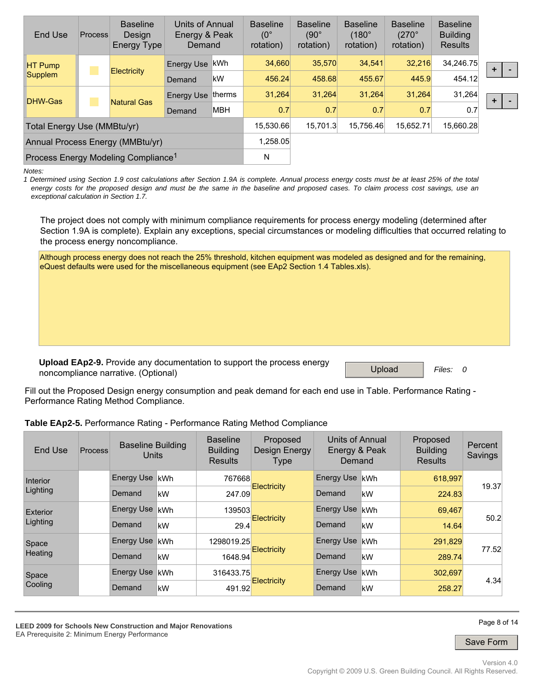| End Use                                         | <b>Process</b> | <b>Baseline</b><br>Design<br>Energy Type | Units of Annual<br>Energy & Peak<br>Demand |            | <b>Baseline</b><br>$(0^{\circ}$<br>rotation) | <b>Baseline</b><br>$(90^\circ$<br>rotation) | <b>Baseline</b><br>$(180^\circ$<br>rotation) | <b>Baseline</b><br>$(270^\circ$<br>rotation) | <b>Baseline</b><br><b>Building</b><br><b>Results</b> |
|-------------------------------------------------|----------------|------------------------------------------|--------------------------------------------|------------|----------------------------------------------|---------------------------------------------|----------------------------------------------|----------------------------------------------|------------------------------------------------------|
| <b>HT Pump</b><br>Supplem                       |                | Energy Use                               | ∣kWh                                       | 34.660     | 35.570                                       | 34.541                                      | 32,216                                       | 34,246.75                                    |                                                      |
|                                                 |                | <b>Electricity</b>                       | Demand                                     | kW         | 456.24                                       | 458.68                                      | 455.67                                       | 445.9                                        | 454.12                                               |
| DHW-Gas                                         |                | <b>Natural Gas</b>                       | Energy Use                                 | therms     | 31.264                                       | 31.264                                      | 31.264                                       | 31.264                                       | 31.264                                               |
|                                                 |                |                                          | Demand                                     | <b>MBH</b> | 0.7                                          | 0.7                                         | 0.7                                          | 0.7                                          | 0.7                                                  |
| Total Energy Use (MMBtu/yr)                     |                |                                          | 15.530.66                                  | 15.701.3   | 15.756.46                                    | 15,652.71                                   | 15,660.28                                    |                                              |                                                      |
| Annual Process Energy (MMBtu/yr)                |                |                                          |                                            |            | 1,258.05                                     |                                             |                                              |                                              |                                                      |
| Process Energy Modeling Compliance <sup>1</sup> |                |                                          |                                            |            | N                                            |                                             |                                              |                                              |                                                      |

*Notes:* 

*1 Determined using Section 1.9 cost calculations after Section 1.9A is complete. Annual process energy costs must be at least 25% of the total energy costs for the proposed design and must be the same in the baseline and proposed cases. To claim process cost savings, use an exceptional calculation in Section 1.7.*

The project does not comply with minimum compliance requirements for process energy modeling (determined after Section 1.9A is complete). Explain any exceptions, special circumstances or modeling difficulties that occurred relating to the process energy noncompliance.

Although process energy does not reach the 25% threshold, kitchen equipment was modeled as designed and for the remaining, eQuest defaults were used for the miscellaneous equipment (see EAp2 Section 1.4 Tables.xls).

**Upload EAp2-9.** Provide any documentation to support the process energy noncompliance narrative. (Optional) **The State of Support the Process of State 1** Upload *Files: 0* 

Fill out the Proposed Design energy consumption and peak demand for each end use in Table. Performance Rating - Performance Rating Method Compliance.

**Table EAp2-5.** Performance Rating - Performance Rating Method Compliance

| End Use          | <b>Process</b> | <b>Baseline Building</b><br>Units |       | <b>Baseline</b><br><b>Building</b><br><b>Results</b> | Proposed<br>Design Energy<br>Type | Units of Annual<br>Energy & Peak<br>Demand |      |         |       | Proposed<br><b>Building</b><br><b>Results</b> | Percent<br>Savings |
|------------------|----------------|-----------------------------------|-------|------------------------------------------------------|-----------------------------------|--------------------------------------------|------|---------|-------|-----------------------------------------------|--------------------|
| <b>Interior</b>  |                | <b>Energy Use</b>                 | lkWh. | 767668                                               |                                   | <b>Energy Use</b>                          | lkWh | 618,997 | 19.37 |                                               |                    |
| Lighting         |                | Demand                            | kW    | 247.09                                               | <b>Electricity</b>                | Demand                                     | kW   | 224.83  |       |                                               |                    |
| <b>Exterior</b>  |                | <b>Energy Use</b>                 | lkWh. | 139503                                               |                                   | <b>Energy Use</b>                          | kWh  | 69,467  | 50.2  |                                               |                    |
| Lighting         |                | Demand                            | kW    | 29.4                                                 | <b>Electricity</b>                | Demand                                     | kW   | 14.64   |       |                                               |                    |
| Space            |                | <b>Energy Use</b>                 | kWh   | 1298019.25                                           |                                   | <b>Energy Use</b>                          | kWh  | 291,829 | 77.52 |                                               |                    |
| Heating          |                | Demand                            | kW    | 1648.94                                              | Electricity                       | Demand                                     | kW   | 289.74  |       |                                               |                    |
| Space<br>Cooling |                | <b>Energy Use</b>                 | kWh   | 316433.75                                            | Electricity                       | <b>Energy Use</b>                          | kWh  | 302,697 | 4.34  |                                               |                    |
|                  |                | Demand                            | kW    | 491.92                                               |                                   | Demand                                     | kW   | 258.27  |       |                                               |                    |

**LEED 2009 for Schools New Construction and Major Renovations**  EA Prerequisite 2: Minimum Energy Performance

Page 8 of 14

**+ -**

**+ -**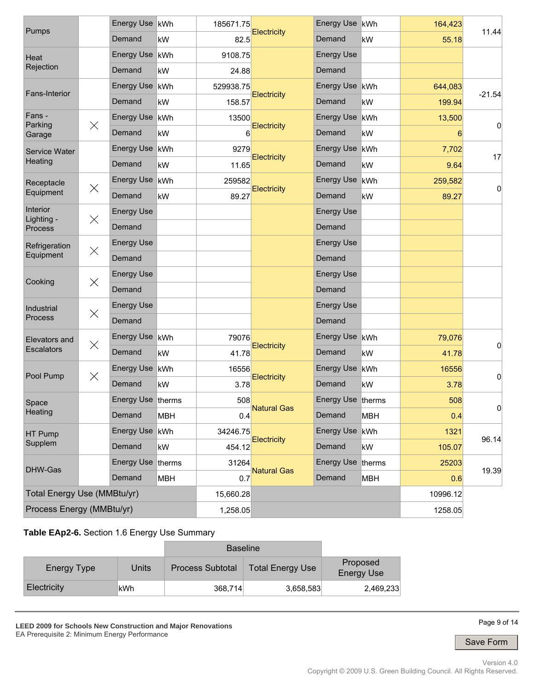| Pumps                       |          | Energy Use kWh    |            | 185671.75 |                    | Energy Use kWh    |            | 164,423  |          |  |
|-----------------------------|----------|-------------------|------------|-----------|--------------------|-------------------|------------|----------|----------|--|
|                             |          | Demand            | kW         | 82.5      | <b>Electricity</b> | Demand            | kW         | 55.18    | 11.44    |  |
| Heat                        |          | Energy Use kWh    |            | 9108.75   |                    | <b>Energy Use</b> |            |          |          |  |
| Rejection                   |          | Demand            | kW         | 24.88     |                    | Demand            |            |          |          |  |
| Fans-Interior               |          | Energy Use kWh    |            | 529938.75 |                    | Energy Use kWh    |            | 644,083  |          |  |
|                             |          | Demand            | kW         | 158.57    | <b>Electricity</b> | Demand            | kW         | 199.94   | $-21.54$ |  |
| Fans -<br>Parking           | $\times$ | Energy Use kWh    |            | 13500     |                    | <b>Energy Use</b> | kWh        | 13,500   |          |  |
| Garage                      |          | Demand            | kW         | 6         | <b>Electricity</b> | Demand            | kW         | 6        | 0        |  |
| Service Water               |          | <b>Energy Use</b> | kWh        | 9279      |                    | <b>Energy Use</b> | kWh        | 7,702    |          |  |
| Heating                     |          | Demand            | kW         | 11.65     | Electricity        | Demand            | kW         | 9.64     | 17       |  |
| Receptacle                  | $\times$ | Energy Use kWh    |            | 259582    |                    | <b>Energy Use</b> | kWh        | 259,582  | 0        |  |
| Equipment                   |          | Demand            | kW         | 89.27     | <b>Electricity</b> | Demand            | kW         | 89.27    |          |  |
| Interior<br>Lighting -      | $\times$ | <b>Energy Use</b> |            |           |                    | <b>Energy Use</b> |            |          |          |  |
| Process                     |          | Demand            |            |           |                    | Demand            |            |          |          |  |
| Refrigeration               |          | <b>Energy Use</b> |            |           |                    | <b>Energy Use</b> |            |          |          |  |
| $\times$<br>Equipment       |          | Demand            |            |           |                    | Demand            |            |          |          |  |
| Cooking                     | $\times$ | <b>Energy Use</b> |            |           |                    | <b>Energy Use</b> |            |          |          |  |
|                             |          | Demand            |            |           |                    | Demand            |            |          |          |  |
| Industrial                  | $\times$ | <b>Energy Use</b> |            |           |                    | <b>Energy Use</b> |            |          |          |  |
| Process                     |          | Demand            |            |           |                    | Demand            |            |          |          |  |
| Elevators and               | $\times$ | Energy Use kWh    |            | 79076     |                    | Energy Use kWh    |            | 79,076   |          |  |
| <b>Escalators</b>           |          | Demand            | kW         | 41.78     | <b>Electricity</b> | Demand            | kW         | 41.78    | 0        |  |
| Pool Pump                   | $\times$ | Energy Use   kWh  |            | 16556     |                    | <b>Energy Use</b> | kWh        | 16556    |          |  |
|                             |          | Demand            | kW         | 3.78      | Electricity        | Demand            | kW         | 3.78     | 0        |  |
| Space                       |          | Energy Use therms |            | 508       | <b>Natural Gas</b> | Energy Use therms |            | 508      |          |  |
| Heating                     |          | Demand            | <b>MBH</b> | 0.4       |                    | Demand            | <b>MBH</b> | 0.4      | U        |  |
| HT Pump                     |          | <b>Energy Use</b> | kWh        | 34246.75  | Electricity        | <b>Energy Use</b> | kWh        | 1321     | 96.14    |  |
| Supplem                     |          | Demand            | kW         | 454.12    |                    | Demand            | kW         | 105.07   |          |  |
| DHW-Gas                     |          | Energy Use therms |            | 31264     | <b>Natural Gas</b> | <b>Energy Use</b> | therms     | 25203    | 19.39    |  |
|                             |          | Demand            | <b>MBH</b> | 0.7       |                    | Demand            | MBH        | 0.6      |          |  |
| Total Energy Use (MMBtu/yr) |          |                   |            | 15,660.28 |                    |                   |            | 10996.12 |          |  |
| Process Energy (MMBtu/yr)   |          | 1,258.05          |            |           |                    | 1258.05           |            |          |          |  |

### **Table EAp2-6.** Section 1.6 Energy Use Summary

|             |       | <b>Baseline</b>         |                         |                               |
|-------------|-------|-------------------------|-------------------------|-------------------------------|
| Energy Type | Units | <b>Process Subtotal</b> | <b>Total Energy Use</b> | Proposed<br><b>Energy Use</b> |
| Electricity | kWh   | 368,714                 | 3,658,583               | 2,469,233                     |

**LEED 2009 for Schools New Construction and Major Renovations**  EA Prerequisite 2: Minimum Energy Performance



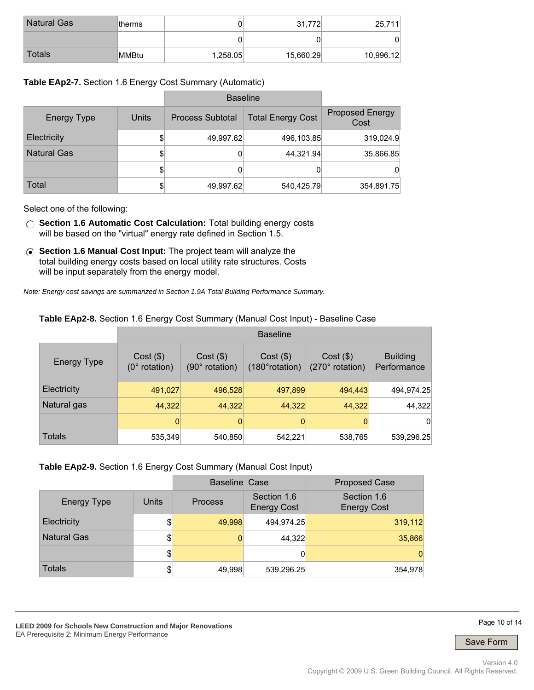| <b>Natural Gas</b> | ltherms |          | 31,772    | 25,711    |
|--------------------|---------|----------|-----------|-----------|
|                    |         |          |           | 0         |
| Totals             | MMBtu   | 1,258.05 | 15,660.29 | 10,996.12 |

#### **Table EAp2-7.** Section 1.6 Energy Cost Summary (Automatic)

|                    |       | <b>Baseline</b>         |                          |                                |
|--------------------|-------|-------------------------|--------------------------|--------------------------------|
| Energy Type        | Units | <b>Process Subtotal</b> | <b>Total Energy Cost</b> | <b>Proposed Energy</b><br>Cost |
| Electricity        | \$    | 49,997.62               | 496,103.85               | 319,024.9                      |
| <b>Natural Gas</b> | \$    | 0                       | 44,321.94                | 35,866.85                      |
|                    | \$    | 0                       | 0                        | 0                              |
| Total              | \$    | 49,997.62               | 540,425.79               | 354,891.75                     |

Select one of the following:

- **Section 1.6 Automatic Cost Calculation:** Total building energy costs will be based on the "virtual" energy rate defined in Section 1.5.
- **Section 1.6 Manual Cost Input:** The project team will analyze the total building energy costs based on local utility rate structures. Costs will be input separately from the energy model.

*Note: Energy cost savings are summarized in Section 1.9A Total Building Performance Summary.*

#### **Table EAp2-8.** Section 1.6 Energy Cost Summary (Manual Cost Input) - Baseline Case

|                    | <b>Baseline</b>                |                               |                                |                                |                                |  |
|--------------------|--------------------------------|-------------------------------|--------------------------------|--------------------------------|--------------------------------|--|
| <b>Energy Type</b> | $Cost($ \$)<br>$(0°$ rotation) | $Cost($ \$)<br>(90° rotation) | $Cost($ \$)<br>(180° rotation) | $Cost($ \$)<br>(270° rotation) | <b>Building</b><br>Performance |  |
| Electricity        | 491,027                        | 496,528                       | 497,899                        | 494,443                        | 494,974.25                     |  |
| Natural gas        | 44,322                         | 44,322                        | 44,322                         | 44,322                         | 44,322                         |  |
|                    | 0                              | 0                             | 0                              |                                | 0                              |  |
| Totals             | 535,349                        | 540,850                       | 542,221                        | 538,765                        | 539,296.25                     |  |

#### **Table EAp2-9.** Section 1.6 Energy Cost Summary (Manual Cost Input)

|                    |               | <b>Baseline Case</b> |                                   | <b>Proposed Case</b>              |  |
|--------------------|---------------|----------------------|-----------------------------------|-----------------------------------|--|
| <b>Energy Type</b> | Units         | <b>Process</b>       | Section 1.6<br><b>Energy Cost</b> | Section 1.6<br><b>Energy Cost</b> |  |
| Electricity        | $\frac{1}{2}$ | 49,998               | 494,974.25                        | 319,112                           |  |
| <b>Natural Gas</b> | \$            |                      | 44,322                            | 35,866                            |  |
|                    | \$            |                      | 0                                 |                                   |  |
| <b>Totals</b>      | \$            | 49,998               | 539,296.25                        | 354,978                           |  |

**LEED 2009 for Schools New Construction and Major Renovations**  EA Prerequisite 2: Minimum Energy Performance

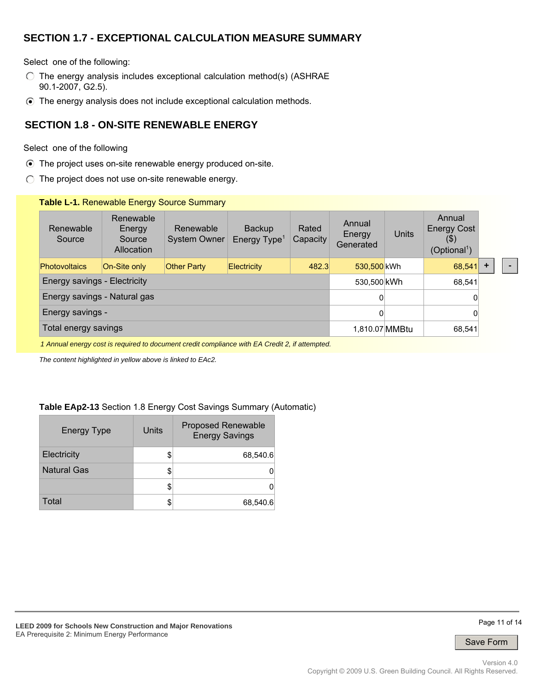# **SECTION 1.7 - EXCEPTIONAL CALCULATION MEASURE SUMMARY**

Select one of the following:

- $\circ$  The energy analysis includes exceptional calculation method(s) (ASHRAE 90.1-2007, G2.5).
- The energy analysis does not include exceptional calculation methods.

### **SECTION 1.8 - ON-SITE RENEWABLE ENERGY**

#### Select one of the following

- The project uses on-site renewable energy produced on-site.
- $\bigcirc$  The project does not use on-site renewable energy.

#### **Table L-1.** Renewable Energy Source Summary

| Renewable<br>Source                                                                          | Renewable<br>Energy<br>Source<br>Allocation | Renewable<br><b>System Owner</b> | <b>Backup</b><br>Energy $Type1$ | Rated<br>Capacity | Annual<br>Energy<br>Generated | Units | Annual<br><b>Energy Cost</b><br>(5)<br>(Optional <sup>1</sup> ) |           |  |
|----------------------------------------------------------------------------------------------|---------------------------------------------|----------------------------------|---------------------------------|-------------------|-------------------------------|-------|-----------------------------------------------------------------|-----------|--|
| <b>Photovoltaics</b>                                                                         | On-Site only                                | <b>Other Party</b>               | <b>Electricity</b>              | 482.3             | 530.500 kWh                   |       | 68,541                                                          | $\ddot{}$ |  |
| Energy savings - Electricity                                                                 |                                             |                                  |                                 |                   | 530,500 kWh                   |       | 68,541                                                          |           |  |
| Energy savings - Natural gas                                                                 | $\overline{0}$                              |                                  | 0                               |                   |                               |       |                                                                 |           |  |
| Energy savings -                                                                             |                                             |                                  |                                 |                   | 0                             |       | 0                                                               |           |  |
| Total energy savings                                                                         |                                             |                                  |                                 |                   | 1,810.07 MMBtu                |       | 68,541                                                          |           |  |
| 1 Annual energy cost is required to document credit compliance with EA Credit 2 if attempted |                                             |                                  |                                 |                   |                               |       |                                                                 |           |  |

*1 Annual energy cost is required to document credit compliance with EA Credit 2, if attempted.*

*The content highlighted in yellow above is linked to EAc2.*

#### **Table EAp2-13** Section 1.8 Energy Cost Savings Summary (Automatic)

| <b>Energy Type</b> | Units | <b>Proposed Renewable</b><br><b>Energy Savings</b> |
|--------------------|-------|----------------------------------------------------|
| Electricity        |       | 68,540.6                                           |
| <b>Natural Gas</b> |       |                                                    |
|                    |       |                                                    |
| Total              |       | 68,540.6                                           |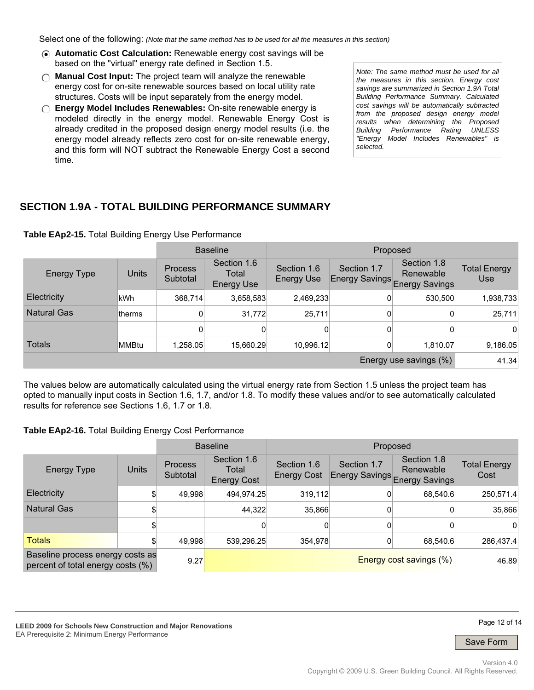Select one of the following: *(Note that the same method has to be used for all the measures in this section)*

- **Automatic Cost Calculation:** Renewable energy cost savings will be based on the "virtual" energy rate defined in Section 1.5.
- **Manual Cost Input:** The project team will analyze the renewable energy cost for on-site renewable sources based on local utility rate structures. Costs will be input separately from the energy model.
- **Energy Model Includes Renewables:** On-site renewable energy is modeled directly in the energy model. Renewable Energy Cost is already credited in the proposed design energy model results (i.e. the energy model already reflects zero cost for on-site renewable energy, and this form will NOT subtract the Renewable Energy Cost a second time.

*Note: The same method must be used for all the measures in this section. Energy cost savings are summarized in Section 1.9A Total Building Performance Summary. Calculated cost savings will be automatically subtracted from the proposed design energy model results when determining the Proposed Building Performance Rating UNLESS "Energy Model Includes Renewables" is selected.*

# **SECTION 1.9A - TOTAL BUILDING PERFORMANCE SUMMARY**

|                        |         |                            | <b>Baseline</b>                           |                                  | Proposed                             |                                                   |                            |
|------------------------|---------|----------------------------|-------------------------------------------|----------------------------------|--------------------------------------|---------------------------------------------------|----------------------------|
| <b>Energy Type</b>     | Units   | <b>Process</b><br>Subtotal | Section 1.6<br>Total<br><b>Energy Use</b> | Section 1.6<br><b>Energy Use</b> | Section 1.7<br><b>Energy Savings</b> | Section 1.8<br>Renewable<br><b>Energy Savings</b> | <b>Total Energy</b><br>Use |
| Electricity            | lkWh.   | 368,714                    | 3,658,583                                 | 2,469,233                        | 0                                    | 530,500                                           | 1,938,733                  |
| <b>Natural Gas</b>     | ltherms | 0                          | 31,772                                    | 25,711                           | 0                                    | 0                                                 | 25,711                     |
|                        |         | $\overline{0}$             | 0                                         | $\Omega$                         | 0                                    | 0                                                 | $\Omega$                   |
| <b>Totals</b>          | MMBtu   | 1,258.05                   | 15,660.29                                 | 10,996.12                        | 0                                    | 1,810.07                                          | 9,186.05                   |
| Energy use savings (%) |         |                            |                                           |                                  |                                      | 41.34                                             |                            |

#### **Table EAp2-15.** Total Building Energy Use Performance

The values below are automatically calculated using the virtual energy rate from Section 1.5 unless the project team has opted to manually input costs in Section 1.6, 1.7, and/or 1.8. To modify these values and/or to see automatically calculated results for reference see Sections 1.6, 1.7 or 1.8.

#### **Table EAp2-16.** Total Building Energy Cost Performance

|                                                                       |       |                            | <b>Baseline</b>                            | Proposed                          |             |                                                           |                             |
|-----------------------------------------------------------------------|-------|----------------------------|--------------------------------------------|-----------------------------------|-------------|-----------------------------------------------------------|-----------------------------|
| Energy Type                                                           | Units | <b>Process</b><br>Subtotal | Section 1.6<br>Total<br><b>Energy Cost</b> | Section 1.6<br><b>Energy Cost</b> | Section 1.7 | Section 1.8<br>Renewable<br>Energy Savings Energy Savings | <b>Total Energy</b><br>Cost |
| Electricity                                                           | \$    | 49.998                     | 494,974.25                                 | 319,112                           |             | 68,540.6                                                  | 250,571.4                   |
| <b>Natural Gas</b>                                                    | \$    |                            | 44.322                                     | 35,866                            |             |                                                           | 35,866                      |
|                                                                       | \$I   |                            | $\overline{0}$                             | Ω                                 |             |                                                           | 0                           |
| <b>Totals</b>                                                         | \$    | 49,998                     | 539,296.25                                 | 354,978                           |             | 68.540.6                                                  | 286,437.4                   |
| Baseline process energy costs as<br>percent of total energy costs (%) |       | 9.27                       |                                            | <b>Energy cost savings (%)</b>    |             |                                                           | 46.89                       |

**LEED 2009 for Schools New Construction and Major Renovations**  EA Prerequisite 2: Minimum Energy Performance

Page 12 of 14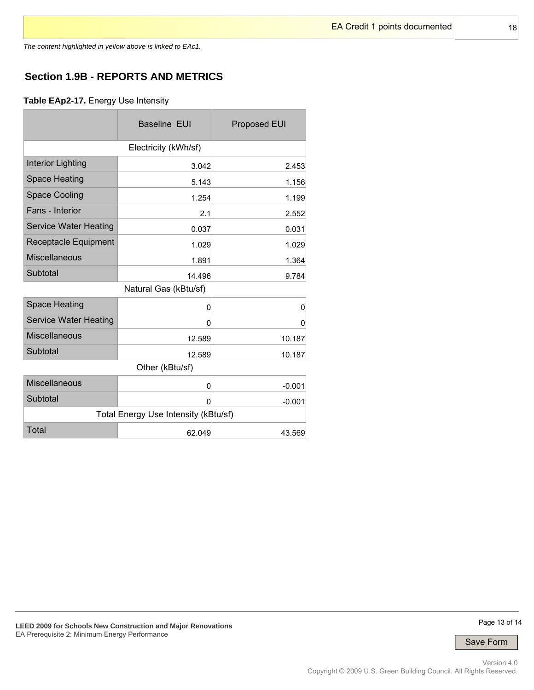*The content highlighted in yellow above is linked to EAc1.*

# **Section 1.9B - REPORTS AND METRICS**

**Table EAp2-17.** Energy Use Intensity

|                              | <b>Baseline EUI</b>                  | <b>Proposed EUI</b> |
|------------------------------|--------------------------------------|---------------------|
|                              | Electricity (kWh/sf)                 |                     |
| <b>Interior Lighting</b>     | 3.042                                | 2.453               |
| <b>Space Heating</b>         | 5.143                                | 1.156               |
| <b>Space Cooling</b>         | 1.254                                | 1.199               |
| Fans - Interior              | 2.1                                  | 2.552               |
| <b>Service Water Heating</b> | 0.037                                | 0.031               |
| Receptacle Equipment         | 1.029                                | 1.029               |
| <b>Miscellaneous</b>         | 1.891                                | 1.364               |
| Subtotal                     | 14.496                               | 9.784               |
|                              | Natural Gas (kBtu/sf)                |                     |
| <b>Space Heating</b>         | 0                                    | 0                   |
| <b>Service Water Heating</b> | 0                                    | 0                   |
| <b>Miscellaneous</b>         | 12.589                               | 10.187              |
| Subtotal                     | 12.589                               | 10.187              |
|                              | Other (kBtu/sf)                      |                     |
| <b>Miscellaneous</b>         | 0                                    | $-0.001$            |
| Subtotal                     | $\Omega$                             | $-0.001$            |
|                              | Total Energy Use Intensity (kBtu/sf) |                     |
| <b>Total</b>                 | 62.049                               | 43.569              |

Page 13 of 14